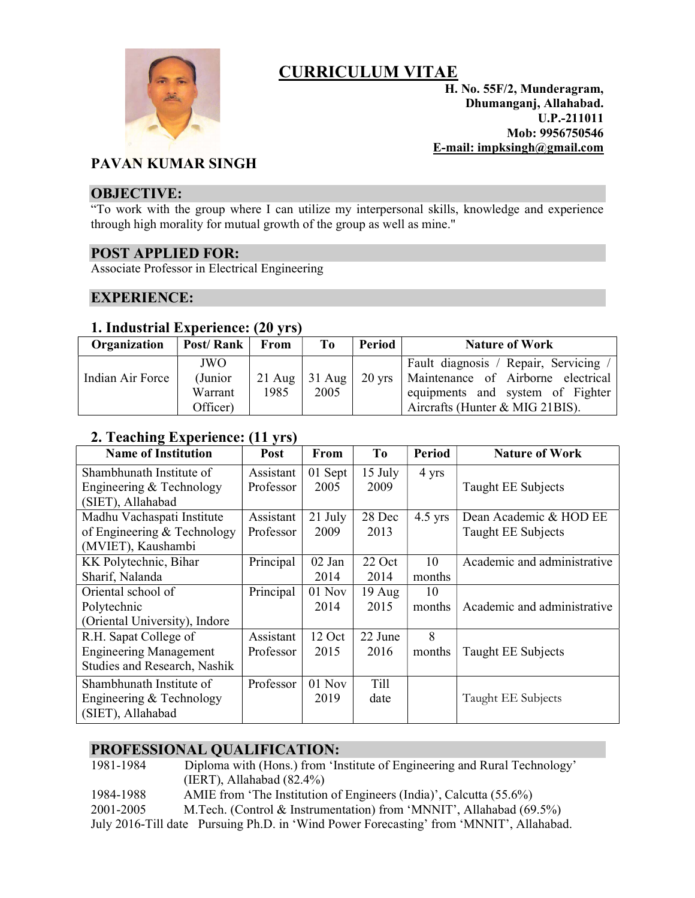

# CURRICULUM VITAE

H. No. 55F/2, Munderagram, Dhumanganj, Allahabad. U.P.-211011 Mob: 9956750546 E-mail: impksingh@gmail.com

## PAVAN KUMAR SINGH

#### OBJECTIVE:

"To work with the group where I can utilize my interpersonal skills, knowledge and experience through high morality for mutual growth of the group as well as mine."

## POST APPLIED FOR:

Associate Professor in Electrical Engineering

## EXPERIENCE:

## 1. Industrial Experience: (20 yrs)

| Organization     | Post/Rank | From     | T <sub>0</sub> | Period           | <b>Nature of Work</b>               |
|------------------|-----------|----------|----------------|------------------|-------------------------------------|
|                  | JWO       |          |                |                  | Fault diagnosis / Repair, Servicing |
| Indian Air Force | (Junior)  | $21$ Aug | $31$ Aug       | $20 \text{ yrs}$ | Maintenance of Airborne electrical  |
|                  | Warrant   | 1985     | 2005           |                  | equipments and system of Fighter    |
|                  | Officer)  |          |                |                  | Aircrafts (Hunter & MIG 21BIS).     |

## 2. Teaching Experience: (11 yrs)

| <b>Name of Institution</b>    | <b>Post</b> | From     | To               | <b>Period</b> | <b>Nature of Work</b>       |
|-------------------------------|-------------|----------|------------------|---------------|-----------------------------|
| Shambhunath Institute of      | Assistant   | 01 Sept  | $15$ July        | 4 yrs         |                             |
| Engineering & Technology      | Professor   | 2005     | 2009             |               | Taught EE Subjects          |
| (SIET), Allahabad             |             |          |                  |               |                             |
| Madhu Vachaspati Institute    | Assistant   | 21 July  | 28 Dec           | $4.5$ yrs     | Dean Academic & HOD EE      |
| of Engineering & Technology   | Professor   | 2009     | 2013             |               | Taught EE Subjects          |
| (MVIET), Kaushambi            |             |          |                  |               |                             |
| KK Polytechnic, Bihar         | Principal   | 02 Jan   | 22 Oct           | 10            | Academic and administrative |
| Sharif, Nalanda               |             | 2014     | 2014             | months        |                             |
| Oriental school of            | Principal   | $01$ Nov | $19 \text{ Aug}$ | 10            |                             |
| Polytechnic                   |             | 2014     | 2015             | months        | Academic and administrative |
| (Oriental University), Indore |             |          |                  |               |                             |
| R.H. Sapat College of         | Assistant   | 12 Oct   | 22 June          | 8             |                             |
| <b>Engineering Management</b> | Professor   | 2015     | 2016             | months        | Taught EE Subjects          |
| Studies and Research, Nashik  |             |          |                  |               |                             |
| Shambhunath Institute of      | Professor   | 01 Nov   | Till             |               |                             |
| Engineering & Technology      |             | 2019     | date             |               | Taught EE Subjects          |
| (SIET), Allahabad             |             |          |                  |               |                             |

## PROFESSIONAL QUALIFICATION:

1981-1984 Diploma with (Hons.) from 'Institute of Engineering and Rural Technology' (IERT), Allahabad (82.4%) 1984-1988 AMIE from 'The Institution of Engineers (India)', Calcutta (55.6%) 2001-2005 M.Tech. (Control & Instrumentation) from 'MNNIT', Allahabad (69.5%) July 2016-Till date Pursuing Ph.D. in 'Wind Power Forecasting' from 'MNNIT', Allahabad.